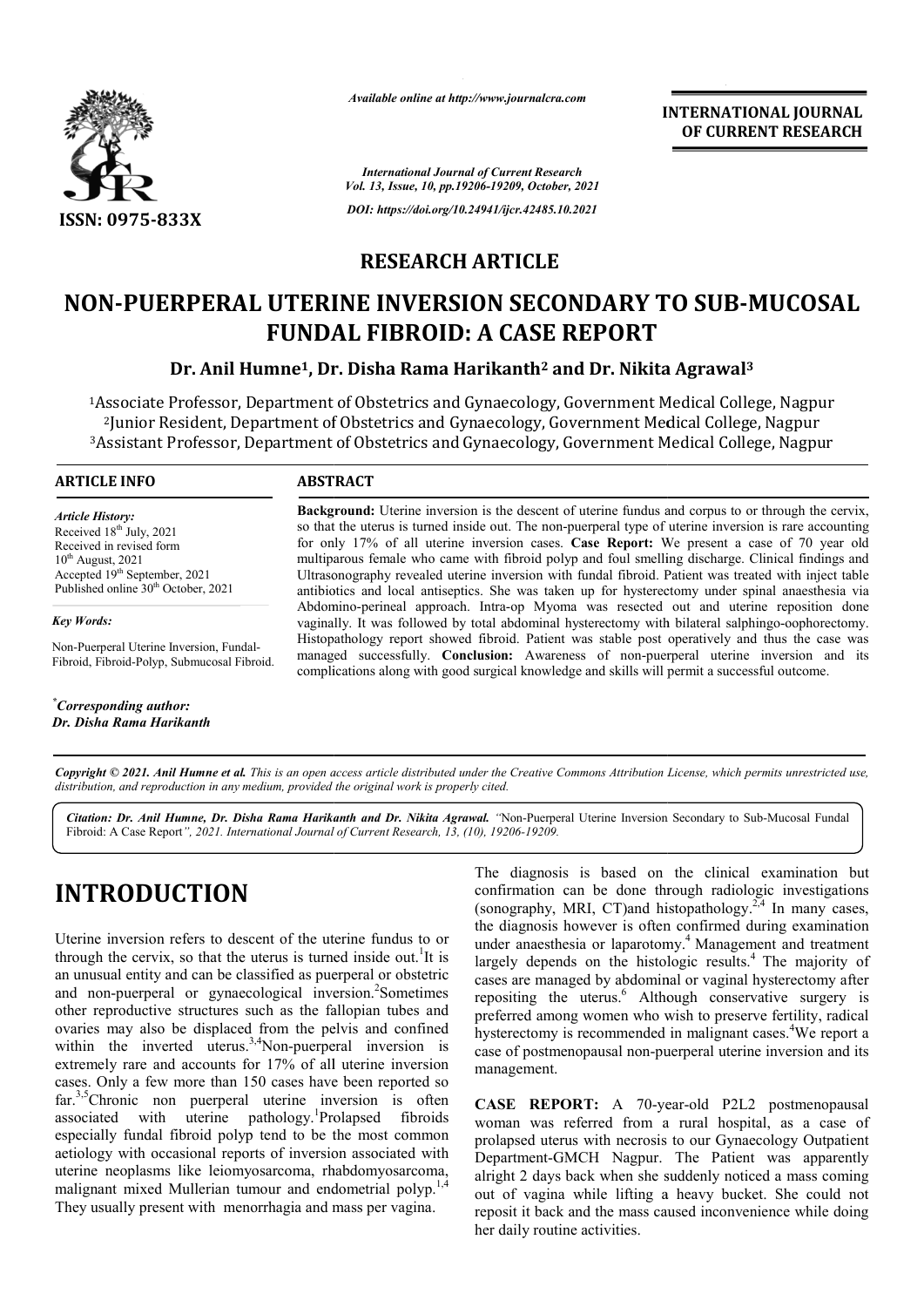

*Available online at http://www.journalcra.com*

*International Journal of Current Research Vol. 13, Issue, 10, pp.19206-19209, October, 2021 DOI: https://doi.org/10.24941/ijcr.42485.10.2021*

**INTERNATIONAL JOURNAL OF CURRENT RESEARCH**

### **RESEARCH ARTICLE**

# **NON-PUERPERAL UTERINE INVERSION SECONDARY TO SUB-MUCOSAL**<br>FUNDAL FIBROID: A CASE REPORT<br>Dr. Anil Humne<sup>1</sup>, Dr. Disha Rama Harikanth<sup>2</sup> and Dr. Nikita Agrawal<sup>3</sup> **FUNDAL FIBROID: A CASE REPORT**

### **Dr. Anil Humne1, Dr. Disha Rama Harikanth Agrawal3**

<sup>1</sup>Associate Professor, Department of Obstetrics and Gynaecology, Government Medical College, Nagpur <sup>2</sup>Junior Resident, Department of Obstetrics and Gynaecology, Government Medical College, Nagpur <sup>1</sup>Associate Professor, Department of Obstetrics and Gynaecology, Government Medical College, Nagpur<br>I unior Resident, Department of Obstetrics and Gynaecology, Government Medical College, Nagpur<sup>3</sup><br>Assistant Professor, De

### **ARTICLE INFO ABSTRACT**

*Article History: Article History:* Received  $18<sup>th</sup>$  July, 2021 Received in revised form Received in revised form  $10^{th}$  August, 2021 Accepted 19<sup>th</sup> September, 2021 Published online 30<sup>th</sup> October, 2021

*Key Words:*

Non-Puerperal Uterine Inversion, Fundal-Fibroid, Fibroid-Polyp, Submucosal Fibroid.

*\* Corresponding author: Dr. Disha Rama Harikanth*

**Background:**  Uterine inversion is the descent of uterine fundus and corpus to or through the cervix, so that the uterus is turned inside out. The non-puerperal type of uterine inversion is rare accounting for only 17% of all uterine inversion cases. **Case Report:** We pre multiparous female who came with fibroid polyp and foul smelling discharge. Clinical findings and multiparous female who came with fibroid polyp and foul smelling discharge. Clinical findings and<br>Ultrasonography revealed uterine inversion with fundal fibroid. Patient was treated with inject table antibiotics and local antisep antiseptics. She was taken up for hysterectomy under spinal anaesthesia via Abdomino Abdomino-perineal approach. Intra-op Myoma was resected out and uterine reposition done vaginally. It was followed by total abdominal hysterectomy with bilateral salphingo Histopathology report showed fibroid. Patient was stable post operatively and thus the case was managed successfully. **Conclusion:** Awareness of non-puerperal uterine inversion and its complications along with good surgical knowledge and skills will permit a successful outcome. the descent of uterine fundus and corpus to or through the cervix, wit. The non-puerperal type of uterine inversion is rare accounting rsion cases. **Case Report:** We present a case of 70 year old antibiotics and local antiseptics. She was taken up for hysterectomy under spinal anaesthesia via<br>Abdomino-perineal approach. Intra-op Myoma was resected out and uterine reposition done<br>vaginally. It was followed by total Histopathology report showed fibroid. Patient was stable post operatively and thus the case managed successfully. **Conclusion:** Awareness of non-puerperal uterine inversion and complications along with good surgical knowle

Copyright © 2021. Anil Humne et al. This is an open access article distributed under the Creative Commons Attribution License, which permits unrestricted use, *distribution, and reproduction in any medium, provided the original work is properly cited.*

Citation: Dr. Anil Humne, Dr. Disha Rama Harikanth and Dr. Nikita Agrawal. "Non-Puerperal Uterine Inversion Secondary to Sub-Mucosal Fundal Fibroid: A Case Report*", 2021. International Journal of Current Research, 13, (10), 19206-19209.*

## **INTRODUCTION**

Uterine inversion refers to descent of the uterine fundus to or through the cervix, so that the uterus is turned inside out.<sup>1</sup>It is an unusual entity and can be classified as puerperal or obstetric and non-puerperal or gynaecological inversion.<sup>2</sup>Sometimes other reproductive structures such as the fallopian tubes and ovaries may also be displaced from the pelvis and confined within the inverted uterus.<sup>3,4</sup>Non-puerperal inversion is extremely rare and accounts for 17% of all uterine inversion cases. Only a few more than 150 cases have been reported so far.<sup>3,5</sup>Chronic non puerperal uterine inversion is often associated with uterine pathology.<sup>1</sup>Prolapsed fibroids especially fundal fibroid polyp tend to be the most common aetiology with occasional reports of inversion associated with uterine neoplasms like leiomyosarcoma, rhabdomyosarcoma, far.<sup>3,5</sup>Chronic non puerperal uterine inversion is often associated with uterine pathology.<sup>1</sup>Prolapsed fibroids especially fundal fibroid polyp tend to be the most common aetiology with occasional reports of inversion a They usually present with menorrhagia and mass per vagina.

The diagnosis is based on the clinical examination but confirmation can be done through radiologic investigations The diagnosis is based on the clinical examination but confirmation can be done through radiologic investigations (sonography, MRI, CT)and histopathology.<sup>2,4</sup> In many cases, the diagnosis however is often confirmed during examination under anaesthesia or laparotomy.<sup>4</sup> Management and treatment largely depends on the histologic results.<sup>4</sup> The majority of cases are managed by abdominal or vaginal hysterectomy after repositing the uterus.<sup>6</sup> Although conservative surgery is preferred among women who wish to preserve fertility, radical hysterectomy is recommended in malignant cases. We report a case of postmenopausal non-puerperal uterine inversion and its management. case of postmenopausal non-puerperal uterine inversion and its<br>management.<br>**CASE REPORT:** A 70-year-old P2L2 postmenopausal are managed by abdominal or vaginal hysterectomy after<br>iting the uterus.<sup>6</sup> Although conservative surgery is<br>red among women who wish to preserve fertility, radical<br>rectomy is recommended in malignant cases.<sup>4</sup>We report a INTERNATIONAL JOURNAL<br>
INTERNATIONAL OF CURRENT RESEARCH<br>
Variations<br>
of  $P$  (22185.10.2021<br>
22485.10.2021<br>
22485.10.2021<br>
CLE<br>
ECONDARY TO SUB-MUCOSAL<br>
SE REPORT<br>
CLE<br>
ECONDARY TO SUB-MUCOSAL<br>
SE REPORT<br>
covarment Medica

woman was referred from a rural hospital, as a case of prolapsed uterus with necrosis to our Gynaecology Outpatient Department-GMCH Nagpur. The Patient was apparently alright 2 days back when she suddenly noticed a mass coming out of vagina while lifting a heavy bucket. She could not reposit it back and the mass caused inconvenience while doing her daily routine activities. woman was referred from a rural hospital, as a case of prolapsed uterus with necrosis to our Gynaecology Outpatient Department-GMCH Nagpur. The Patient was apparently alright 2 days back when she suddenly noticed a mass co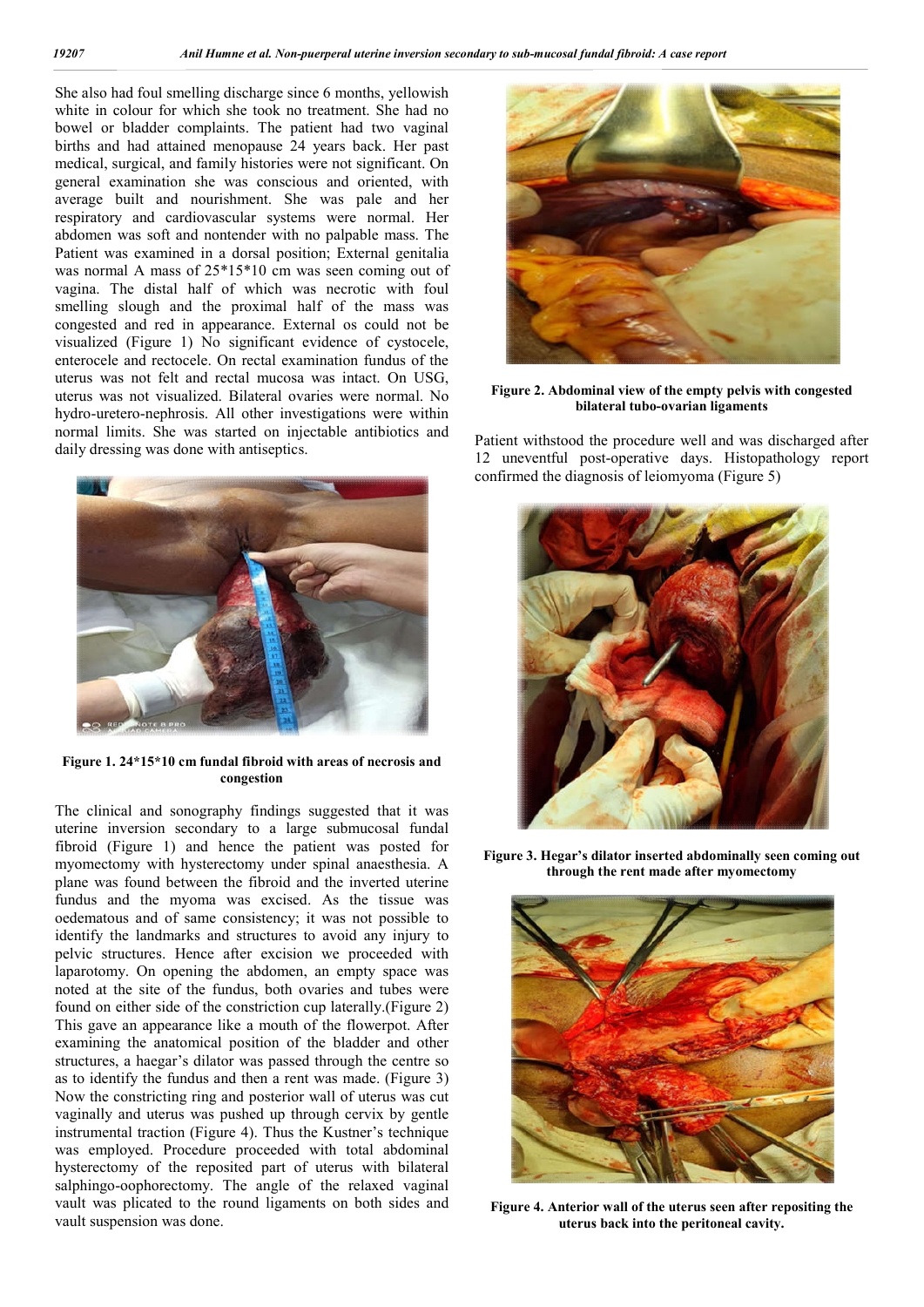She also had foul smelling discharge since 6 months, yellowish white in colour for which she took no treatment. She had no bowel or bladder complaints. The patient had two vaginal births and had attained menopause 24 years back. Her past medical, surgical, and family histories were not significant. On general examination she was conscious and oriented, with average built and nourishment. She was pale and her respiratory and cardiovascular systems were normal. Her abdomen was soft and nontender with no palpable mass. The Patient was examined in a dorsal position; External genitalia was normal A mass of 25\*15\*10 cm was seen coming out of vagina. The distal half of which was necrotic with foul smelling slough and the proximal half of the mass was congested and red in appearance. External os could not be visualized (Figure 1) No significant evidence of cystocele, enterocele and rectocele. On rectal examination fundus of the uterus was not felt and rectal mucosa was intact. On USG, uterus was not visualized. Bilateral ovaries were normal. No hydro-uretero-nephrosis. All other investigations were within normal limits. She was started on injectable antibiotics and daily dressing was done with antiseptics.



**Figure 1. 24\*15\*10 cm fundal fibroid with areas of necrosis and congestion**

The clinical and sonography findings suggested that it was uterine inversion secondary to a large submucosal fundal fibroid (Figure 1) and hence the patient was posted for myomectomy with hysterectomy under spinal anaesthesia. A plane was found between the fibroid and the inverted uterine fundus and the myoma was excised. As the tissue was oedematous and of same consistency; it was not possible to identify the landmarks and structures to avoid any injury to pelvic structures. Hence after excision we proceeded with laparotomy. On opening the abdomen, an empty space was noted at the site of the fundus, both ovaries and tubes were found on either side of the constriction cup laterally.(Figure 2) This gave an appearance like a mouth of the flowerpot. After examining the anatomical position of the bladder and other structures, a haegar's dilator was passed through the centre so as to identify the fundus and then a rent was made. (Figure 3) Now the constricting ring and posterior wall of uterus was cut vaginally and uterus was pushed up through cervix by gentle instrumental traction (Figure 4). Thus the Kustner's technique was employed. Procedure proceeded with total abdominal hysterectomy of the reposited part of uterus with bilateral salphingo-oophorectomy. The angle of the relaxed vaginal vault was plicated to the round ligaments on both sides and vault suspension was done.



**Figure 2. Abdominal view of the empty pelvis with congested bilateral tubo-ovarian ligaments**

Patient withstood the procedure well and was discharged after 12 uneventful post-operative days. Histopathology report confirmed the diagnosis of leiomyoma (Figure 5)



**Figure 3. Hegar's dilator inserted abdominally seen coming out through the rent made after myomectomy**



**Figure 4. Anterior wall of the uterus seen after repositing the uterus back into the peritoneal cavity.**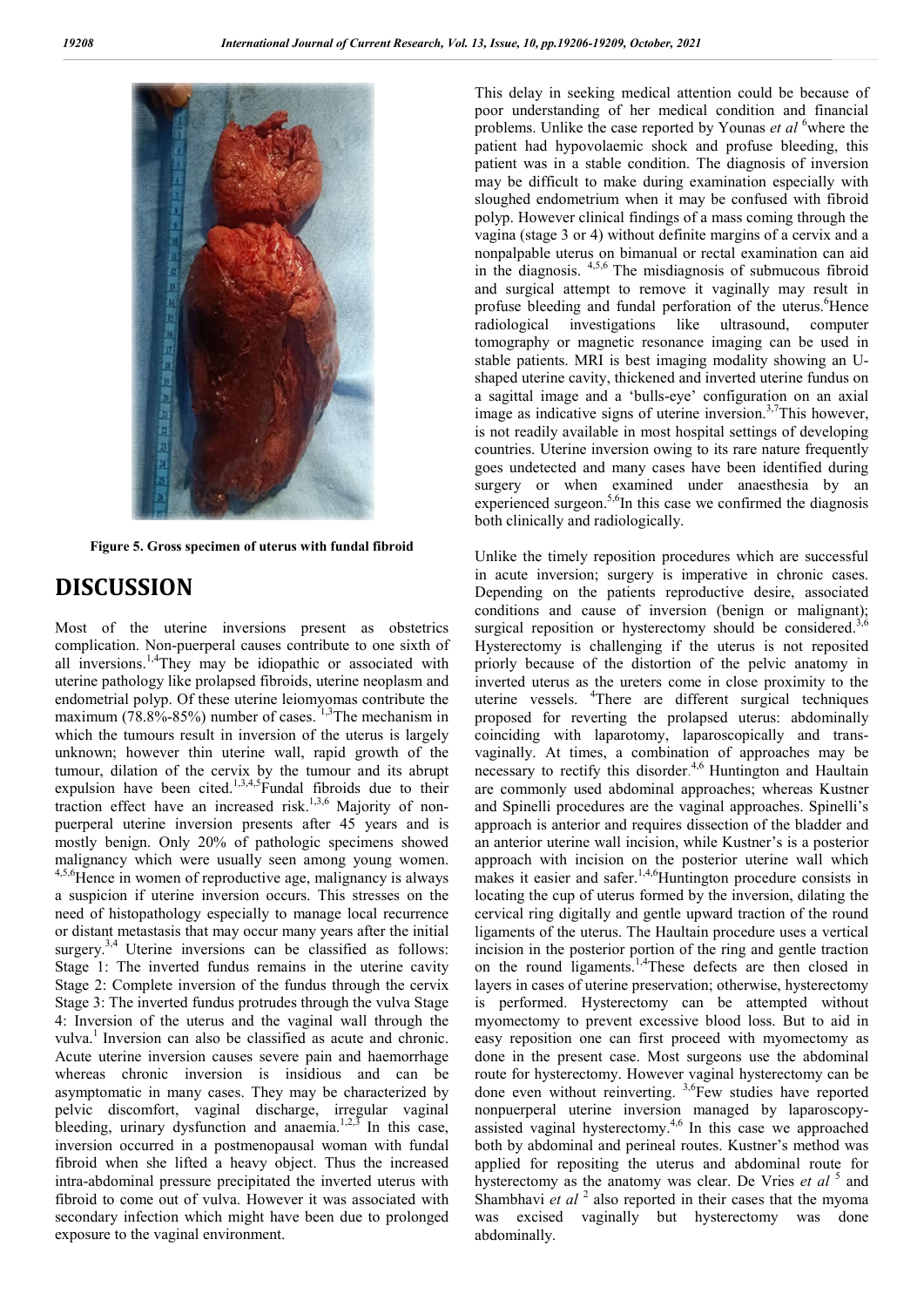

**Figure 5. Gross specimen of uterus with fundal fibroid**

### **DISCUSSION**

Most of the uterine inversions present as obstetrics complication. Non-puerperal causes contribute to one sixth of all inversions.<sup>1,4</sup>They may be idiopathic or associated with uterine pathology like prolapsed fibroids, uterine neoplasm and endometrial polyp. Of these uterine leiomyomas contribute the maximum  $(78.8\% - 85\%)$  number of cases. <sup>1,3</sup>The mechanism in which the tumours result in inversion of the uterus is largely unknown; however thin uterine wall, rapid growth of the tumour, dilation of the cervix by the tumour and its abrupt expulsion have been cited.<sup>1,3,4,5</sup>Fundal fibroids due to their traction effect have an increased risk.<sup>1,3,6</sup> Majority of nonpuerperal uterine inversion presents after 45 years and is mostly benign. Only 20% of pathologic specimens showed malignancy which were usually seen among young women. 4,5,6Hence in women of reproductive age, malignancy is always a suspicion if uterine inversion occurs. This stresses on the need of histopathology especially to manage local recurrence or distant metastasis that may occur many years after the initial surgery.<sup>3,4</sup> Uterine inversions can be classified as follows: Stage 1: The inverted fundus remains in the uterine cavity Stage 2: Complete inversion of the fundus through the cervix Stage 3: The inverted fundus protrudes through the vulva Stage 4: Inversion of the uterus and the vaginal wall through the vulva.<sup>1</sup> Inversion can also be classified as acute and chronic. Acute uterine inversion causes severe pain and haemorrhage whereas chronic inversion is insidious and can be asymptomatic in many cases. They may be characterized by pelvic discomfort, vaginal discharge, irregular vaginal bleeding, urinary dysfunction and anaemia.<sup>1,2,3</sup> In this case, inversion occurred in a postmenopausal woman with fundal fibroid when she lifted a heavy object. Thus the increased intra-abdominal pressure precipitated the inverted uterus with fibroid to come out of vulva. However it was associated with secondary infection which might have been due to prolonged exposure to the vaginal environment.

This delay in seeking medical attention could be because of poor understanding of her medical condition and financial problems. Unlike the case reported by Younas *et al* <sup>6</sup> where the patient had hypovolaemic shock and profuse bleeding, this patient was in a stable condition. The diagnosis of inversion may be difficult to make during examination especially with sloughed endometrium when it may be confused with fibroid polyp. However clinical findings of a mass coming through the vagina (stage 3 or 4) without definite margins of a cervix and a nonpalpable uterus on bimanual or rectal examination can aid in the diagnosis. 4,5,6 The misdiagnosis of submucous fibroid and surgical attempt to remove it vaginally may result in profuse bleeding and fundal perforation of the uterus. Hence radiological investigations like ultrasound, computer tomography or magnetic resonance imaging can be used in stable patients. MRI is best imaging modality showing an Ushaped uterine cavity, thickened and inverted uterine fundus on a sagittal image and a 'bulls-eye' configuration on an axial image as indicative signs of uterine inversion.<sup>3,7</sup>This however, is not readily available in most hospital settings of developing countries. Uterine inversion owing to its rare nature frequently goes undetected and many cases have been identified during surgery or when examined under anaesthesia by an experienced surgeon.<sup>5,6</sup>In this case we confirmed the diagnosis both clinically and radiologically.

Unlike the timely reposition procedures which are successful in acute inversion; surgery is imperative in chronic cases. Depending on the patients reproductive desire, associated conditions and cause of inversion (benign or malignant); surgical reposition or hysterectomy should be considered.<sup>3</sup> Hysterectomy is challenging if the uterus is not reposited priorly because of the distortion of the pelvic anatomy in inverted uterus as the ureters come in close proximity to the uterine vessels. <sup>4</sup> There are different surgical techniques proposed for reverting the prolapsed uterus: abdominally coinciding with laparotomy, laparoscopically and transvaginally. At times, a combination of approaches may be necessary to rectify this disorder. 4,6 Huntington and Haultain are commonly used abdominal approaches; whereas Kustner and Spinelli procedures are the vaginal approaches. Spinelli's approach is anterior and requires dissection of the bladder and an anterior uterine wall incision, while Kustner's is a posterior approach with incision on the posterior uterine wall which makes it easier and safer.<sup>1,4,6</sup>Huntington procedure consists in locating the cup of uterus formed by the inversion, dilating the cervical ring digitally and gentle upward traction of the round ligaments of the uterus. The Haultain procedure uses a vertical incision in the posterior portion of the ring and gentle traction on the round ligaments.<sup>1,4</sup>These defects are then closed in layers in cases of uterine preservation; otherwise, hysterectomy is performed. Hysterectomy can be attempted without myomectomy to prevent excessive blood loss. But to aid in easy reposition one can first proceed with myomectomy as done in the present case. Most surgeons use the abdominal route for hysterectomy. However vaginal hysterectomy can be done even without reinverting. 3,6Few studies have reported nonpuerperal uterine inversion managed by laparoscopyassisted vaginal hysterectomy.4,6 In this case we approached both by abdominal and perineal routes. Kustner's method was applied for repositing the uterus and abdominal route for hysterectomy as the anatomy was clear. De Vries *et al* <sup>5</sup> and Shambhavi *et al* <sup>2</sup> also reported in their cases that the myoma was excised vaginally but hysterectomy was done abdominally.